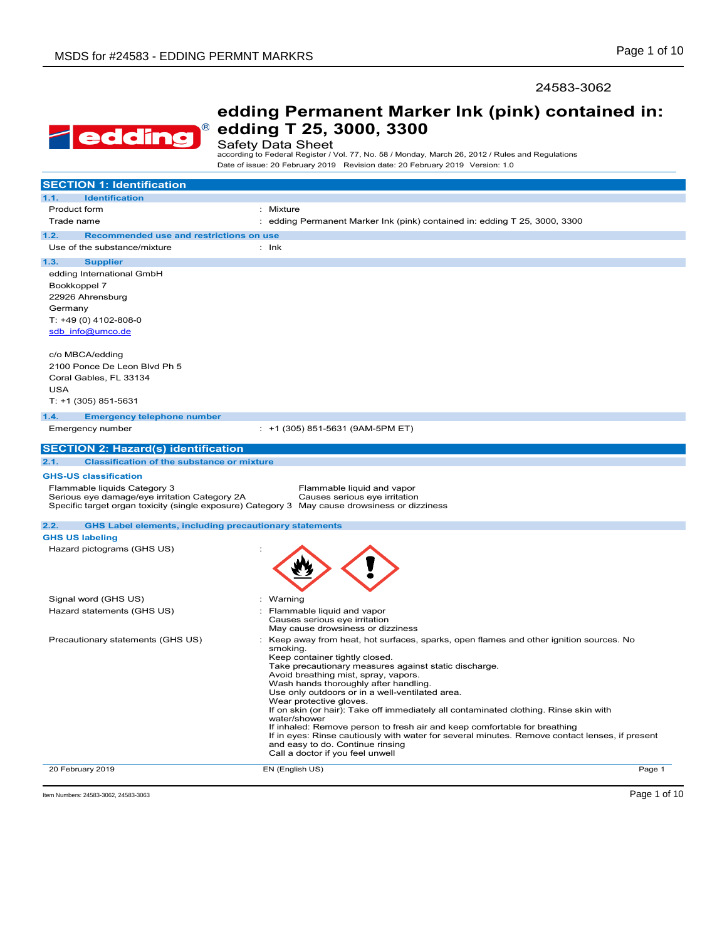### 24583-3062



# **edding Permanent Marker Ink (pink) contained in: edding T 25, 3000, 3300**

# Safety Data Sheet

according to Federal Register / Vol. 77, No. 58 / Monday, March 26, 2012 / Rules and Regulations Date of issue: 20 February 2019 Revision date: 20 February 2019 Version: 1.0

| <b>SECTION 1: Identification</b>                                              |                                                                                                                                                                                                                                                                                                                                                                                                                                                                                                                                                                                                                                                                                                                             |
|-------------------------------------------------------------------------------|-----------------------------------------------------------------------------------------------------------------------------------------------------------------------------------------------------------------------------------------------------------------------------------------------------------------------------------------------------------------------------------------------------------------------------------------------------------------------------------------------------------------------------------------------------------------------------------------------------------------------------------------------------------------------------------------------------------------------------|
| 1.1.<br><b>Identification</b>                                                 |                                                                                                                                                                                                                                                                                                                                                                                                                                                                                                                                                                                                                                                                                                                             |
| Product form                                                                  | Mixture                                                                                                                                                                                                                                                                                                                                                                                                                                                                                                                                                                                                                                                                                                                     |
| Trade name                                                                    | : edding Permanent Marker Ink (pink) contained in: edding T 25, 3000, 3300                                                                                                                                                                                                                                                                                                                                                                                                                                                                                                                                                                                                                                                  |
| 1.2.<br>Recommended use and restrictions on use                               |                                                                                                                                                                                                                                                                                                                                                                                                                                                                                                                                                                                                                                                                                                                             |
| Use of the substance/mixture                                                  | $:$ lnk                                                                                                                                                                                                                                                                                                                                                                                                                                                                                                                                                                                                                                                                                                                     |
|                                                                               |                                                                                                                                                                                                                                                                                                                                                                                                                                                                                                                                                                                                                                                                                                                             |
| 1.3.<br><b>Supplier</b>                                                       |                                                                                                                                                                                                                                                                                                                                                                                                                                                                                                                                                                                                                                                                                                                             |
| edding International GmbH                                                     |                                                                                                                                                                                                                                                                                                                                                                                                                                                                                                                                                                                                                                                                                                                             |
| Bookkoppel 7                                                                  |                                                                                                                                                                                                                                                                                                                                                                                                                                                                                                                                                                                                                                                                                                                             |
| 22926 Ahrensburg                                                              |                                                                                                                                                                                                                                                                                                                                                                                                                                                                                                                                                                                                                                                                                                                             |
| Germany                                                                       |                                                                                                                                                                                                                                                                                                                                                                                                                                                                                                                                                                                                                                                                                                                             |
| T: +49 (0) 4102-808-0                                                         |                                                                                                                                                                                                                                                                                                                                                                                                                                                                                                                                                                                                                                                                                                                             |
| sdb info@umco.de                                                              |                                                                                                                                                                                                                                                                                                                                                                                                                                                                                                                                                                                                                                                                                                                             |
|                                                                               |                                                                                                                                                                                                                                                                                                                                                                                                                                                                                                                                                                                                                                                                                                                             |
| c/o MBCA/edding                                                               |                                                                                                                                                                                                                                                                                                                                                                                                                                                                                                                                                                                                                                                                                                                             |
| 2100 Ponce De Leon Blvd Ph 5                                                  |                                                                                                                                                                                                                                                                                                                                                                                                                                                                                                                                                                                                                                                                                                                             |
| Coral Gables, FL 33134                                                        |                                                                                                                                                                                                                                                                                                                                                                                                                                                                                                                                                                                                                                                                                                                             |
| <b>USA</b>                                                                    |                                                                                                                                                                                                                                                                                                                                                                                                                                                                                                                                                                                                                                                                                                                             |
| T: +1 (305) 851-5631                                                          |                                                                                                                                                                                                                                                                                                                                                                                                                                                                                                                                                                                                                                                                                                                             |
| 1.4.<br><b>Emergency telephone number</b>                                     |                                                                                                                                                                                                                                                                                                                                                                                                                                                                                                                                                                                                                                                                                                                             |
| Emergency number                                                              | : +1 (305) 851-5631 (9AM-5PM ET)                                                                                                                                                                                                                                                                                                                                                                                                                                                                                                                                                                                                                                                                                            |
|                                                                               |                                                                                                                                                                                                                                                                                                                                                                                                                                                                                                                                                                                                                                                                                                                             |
| <b>SECTION 2: Hazard(s) identification</b>                                    |                                                                                                                                                                                                                                                                                                                                                                                                                                                                                                                                                                                                                                                                                                                             |
| <b>Classification of the substance or mixture</b><br>2.1.                     |                                                                                                                                                                                                                                                                                                                                                                                                                                                                                                                                                                                                                                                                                                                             |
| <b>GHS-US classification</b>                                                  |                                                                                                                                                                                                                                                                                                                                                                                                                                                                                                                                                                                                                                                                                                                             |
| Flammable liquids Category 3<br>Serious eye damage/eye irritation Category 2A | Flammable liquid and vapor<br>Causes serious eye irritation<br>Specific target organ toxicity (single exposure) Category 3 May cause drowsiness or dizziness                                                                                                                                                                                                                                                                                                                                                                                                                                                                                                                                                                |
| <b>GHS Label elements, including precautionary statements</b><br>2.2.         |                                                                                                                                                                                                                                                                                                                                                                                                                                                                                                                                                                                                                                                                                                                             |
| <b>GHS US labeling</b>                                                        |                                                                                                                                                                                                                                                                                                                                                                                                                                                                                                                                                                                                                                                                                                                             |
| Hazard pictograms (GHS US)                                                    |                                                                                                                                                                                                                                                                                                                                                                                                                                                                                                                                                                                                                                                                                                                             |
|                                                                               |                                                                                                                                                                                                                                                                                                                                                                                                                                                                                                                                                                                                                                                                                                                             |
| Signal word (GHS US)                                                          | Warning<br>÷                                                                                                                                                                                                                                                                                                                                                                                                                                                                                                                                                                                                                                                                                                                |
| Hazard statements (GHS US)                                                    | Flammable liquid and vapor<br>٠                                                                                                                                                                                                                                                                                                                                                                                                                                                                                                                                                                                                                                                                                             |
|                                                                               | Causes serious eye irritation                                                                                                                                                                                                                                                                                                                                                                                                                                                                                                                                                                                                                                                                                               |
|                                                                               | May cause drowsiness or dizziness                                                                                                                                                                                                                                                                                                                                                                                                                                                                                                                                                                                                                                                                                           |
| Precautionary statements (GHS US)                                             | Keep away from heat, hot surfaces, sparks, open flames and other ignition sources. No<br>smoking.<br>Keep container tightly closed.<br>Take precautionary measures against static discharge.<br>Avoid breathing mist, spray, vapors.<br>Wash hands thoroughly after handling.<br>Use only outdoors or in a well-ventilated area.<br>Wear protective gloves.<br>If on skin (or hair): Take off immediately all contaminated clothing. Rinse skin with<br>water/shower<br>If inhaled: Remove person to fresh air and keep comfortable for breathing<br>If in eyes: Rinse cautiously with water for several minutes. Remove contact lenses, if present<br>and easy to do. Continue rinsing<br>Call a doctor if you feel unwell |
| 20 February 2019                                                              | EN (English US)<br>Page 1                                                                                                                                                                                                                                                                                                                                                                                                                                                                                                                                                                                                                                                                                                   |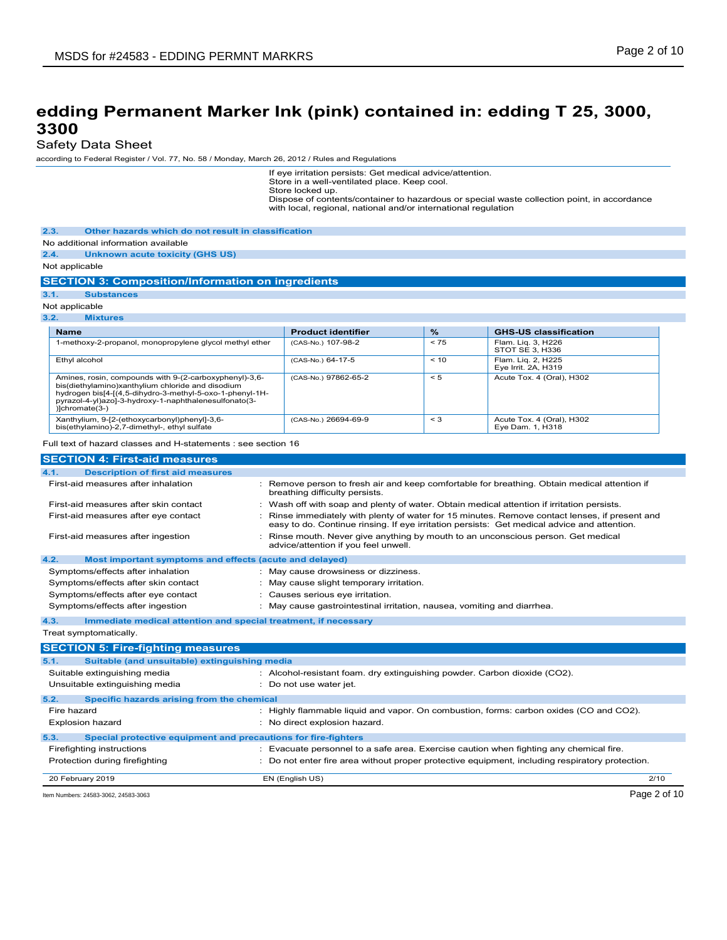### Safety Data Sheet

according to Federal Register / Vol. 77, No. 58 / Monday, March 26, 2012 / Rules and Regulations

If eye irritation persists: Get medical advice/attention. Store in a well-ventilated place. Keep cool.

Store locked up.

Dispose of contents/container to hazardous or special waste collection point, in accordance with local, regional, national and/or international regulation

**2.3. Other hazards which do not result in classification**

No additional information available

**2.4. Unknown acute toxicity (GHS US)**

Not applicable

### **SECTION 3: Composition/Information on ingredients**

```
3.1. Substances
```
Not applicable

**3.2. Mixtures**

| <b>Name</b>                                                                                                                                                                                                                                        | <b>Product identifier</b> | $\frac{9}{6}$ | <b>GHS-US classification</b>                  |
|----------------------------------------------------------------------------------------------------------------------------------------------------------------------------------------------------------------------------------------------------|---------------------------|---------------|-----------------------------------------------|
| 1-methoxy-2-propanol, monopropylene glycol methyl ether                                                                                                                                                                                            | (CAS-No.) 107-98-2        | < 75          | Flam. Lig. 3, H226<br>STOT SE 3, H336         |
| Ethyl alcohol                                                                                                                                                                                                                                      | (CAS-No.) 64-17-5         | < 10          | Flam. Lig. 2, H225<br>Eye Irrit. 2A, H319     |
| Amines, rosin, compounds with 9-(2-carboxyphenyl)-3,6-<br>bis(diethylamino)xanthylium chloride and disodium<br>hydrogen bis[4-[(4,5-dihydro-3-methyl-5-oxo-1-phenyl-1H-<br>pyrazol-4-yl)azo]-3-hydroxy-1-naphthalenesulfonato(3-<br>)]chromate(3-) | (CAS-No.) 97862-65-2      | < 5           | Acute Tox. 4 (Oral), H302                     |
| Xanthylium, 9-[2-(ethoxycarbonyl)phenyl]-3,6-<br>bis(ethylamino)-2,7-dimethyl-, ethyl sulfate                                                                                                                                                      | (CAS-No.) 26694-69-9      | $\leq$ 3      | Acute Tox. 4 (Oral), H302<br>Eve Dam, 1, H318 |

Full text of hazard classes and H-statements : see section 16

| <b>SECTION 4: First-aid measures</b>                                    |                                                                                                                                                                                             |
|-------------------------------------------------------------------------|---------------------------------------------------------------------------------------------------------------------------------------------------------------------------------------------|
| 4.1.<br><b>Description of first aid measures</b>                        |                                                                                                                                                                                             |
| First-aid measures after inhalation                                     | Remove person to fresh air and keep comfortable for breathing. Obtain medical attention if<br>breathing difficulty persists.                                                                |
| First-aid measures after skin contact                                   | Wash off with soap and plenty of water. Obtain medical attention if irritation persists.                                                                                                    |
| First-aid measures after eye contact                                    | Rinse immediately with plenty of water for 15 minutes. Remove contact lenses, if present and<br>easy to do. Continue rinsing. If eye irritation persists: Get medical advice and attention. |
| First-aid measures after ingestion                                      | Rinse mouth. Never give anything by mouth to an unconscious person. Get medical<br>advice/attention if you feel unwell.                                                                     |
| 4.2.<br>Most important symptoms and effects (acute and delayed)         |                                                                                                                                                                                             |
| Symptoms/effects after inhalation                                       | : May cause drowsiness or dizziness.                                                                                                                                                        |
| Symptoms/effects after skin contact                                     | : May cause slight temporary irritation.                                                                                                                                                    |
| Symptoms/effects after eye contact                                      | : Causes serious eye irritation.                                                                                                                                                            |
| Symptoms/effects after ingestion                                        | : May cause gastrointestinal irritation, nausea, vomiting and diarrhea.                                                                                                                     |
| 4.3.<br>Immediate medical attention and special treatment, if necessary |                                                                                                                                                                                             |
| Treat symptomatically.                                                  |                                                                                                                                                                                             |
| <b>SECTION 5: Fire-fighting measures</b>                                |                                                                                                                                                                                             |
| Suitable (and unsuitable) extinguishing media<br>5.1.                   |                                                                                                                                                                                             |
| Suitable extinguishing media                                            | : Alcohol-resistant foam. dry extinguishing powder. Carbon dioxide (CO2).                                                                                                                   |
| Unsuitable extinguishing media                                          | : Do not use water jet.                                                                                                                                                                     |
| Specific hazards arising from the chemical<br>5.2.                      |                                                                                                                                                                                             |
| Fire hazard                                                             | Highly flammable liquid and vapor. On combustion, forms: carbon oxides (CO and CO2).                                                                                                        |

|      | Item Numbers: 24583-3062, 24583-3063                           |                                                                                                 | Page 2 of 10 |
|------|----------------------------------------------------------------|-------------------------------------------------------------------------------------------------|--------------|
|      | 20 February 2019                                               | EN (English US)                                                                                 | 2/10         |
|      | Protection during firefighting                                 | : Do not enter fire area without proper protective equipment, including respiratory protection. |              |
|      | Firefighting instructions                                      | Evacuate personnel to a safe area. Exercise caution when fighting any chemical fire.            |              |
| 5.3. | Special protective equipment and precautions for fire-fighters |                                                                                                 |              |
|      | Explosion hazard                                               | No direct explosion hazard.                                                                     |              |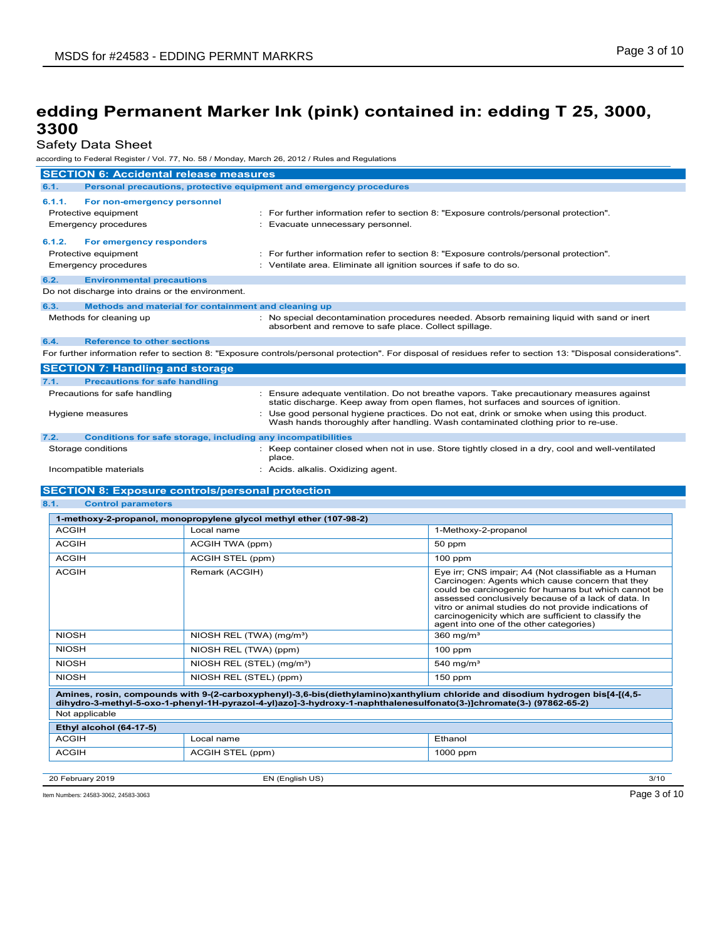Safety Data Sheet

according to Federal Register / Vol. 77, No. 58 / Monday, March 26, 2012 / Rules and Regulations

| <b>SECTION 6: Accidental release measures</b>                                                |                                                                                                                                                                                  |  |
|----------------------------------------------------------------------------------------------|----------------------------------------------------------------------------------------------------------------------------------------------------------------------------------|--|
| 6.1.<br>Personal precautions, protective equipment and emergency procedures                  |                                                                                                                                                                                  |  |
| 6.1.1.<br>For non-emergency personnel<br>Protective equipment<br><b>Emergency procedures</b> | : For further information refer to section 8: "Exposure controls/personal protection".<br>Evacuate unnecessary personnel.                                                        |  |
| 6.1.2.<br>For emergency responders<br>Protective equipment<br><b>Emergency procedures</b>    | : For further information refer to section 8: "Exposure controls/personal protection".<br>: Ventilate area. Eliminate all ignition sources if safe to do so.                     |  |
| 6.2.<br><b>Environmental precautions</b>                                                     |                                                                                                                                                                                  |  |
| Do not discharge into drains or the environment.                                             |                                                                                                                                                                                  |  |
| Methods and material for containment and cleaning up<br>6.3.                                 |                                                                                                                                                                                  |  |
| Methods for cleaning up                                                                      | : No special decontamination procedures needed. Absorb remaining liquid with sand or inert<br>absorbent and remove to safe place. Collect spillage.                              |  |
| <b>Reference to other sections</b><br>6.4.                                                   |                                                                                                                                                                                  |  |
|                                                                                              | For further information refer to section 8: "Exposure controls/personal protection". For disposal of residues refer to section 13: "Disposal considerations".                    |  |
| <b>SECTION 7: Handling and storage</b>                                                       |                                                                                                                                                                                  |  |
| <b>Precautions for safe handling</b><br>7.1.                                                 |                                                                                                                                                                                  |  |
| Precautions for safe handling                                                                | : Ensure adequate ventilation. Do not breathe vapors. Take precautionary measures against<br>static discharge. Keep away from open flames, hot surfaces and sources of ignition. |  |
| Hygiene measures                                                                             | Use good personal hygiene practices. Do not eat, drink or smoke when using this product.<br>Wash hands thoroughly after handling. Wash contaminated clothing prior to re-use.    |  |
| 7.2.<br>Conditions for safe storage, including any incompatibilities                         |                                                                                                                                                                                  |  |
| Storage conditions                                                                           | : Keep container closed when not in use. Store tightly closed in a dry, cool and well-ventilated<br>place.                                                                       |  |

Incompatible materials **incompatible materials incompatible materials incompatible** materials

### **SECTION 8: Exposure controls/personal protection**

**8.1. Control parameters**

| 1-methoxy-2-propanol, monopropylene glycol methyl ether (107-98-2)                                                                                                                                                                                   |                                       |                                                                                                                                                                                                                                                                                                                                                                                     |  |  |
|------------------------------------------------------------------------------------------------------------------------------------------------------------------------------------------------------------------------------------------------------|---------------------------------------|-------------------------------------------------------------------------------------------------------------------------------------------------------------------------------------------------------------------------------------------------------------------------------------------------------------------------------------------------------------------------------------|--|--|
| <b>ACGIH</b>                                                                                                                                                                                                                                         | Local name                            | 1-Methoxy-2-propanol                                                                                                                                                                                                                                                                                                                                                                |  |  |
| <b>ACGIH</b>                                                                                                                                                                                                                                         | ACGIH TWA (ppm)                       | 50 ppm                                                                                                                                                                                                                                                                                                                                                                              |  |  |
| <b>ACGIH</b>                                                                                                                                                                                                                                         | ACGIH STEL (ppm)                      | $100$ ppm                                                                                                                                                                                                                                                                                                                                                                           |  |  |
| <b>ACGIH</b>                                                                                                                                                                                                                                         | Remark (ACGIH)                        | Eye irr; CNS impair; A4 (Not classifiable as a Human<br>Carcinogen: Agents which cause concern that they<br>could be carcinogenic for humans but which cannot be<br>assessed conclusively because of a lack of data. In<br>vitro or animal studies do not provide indications of<br>carcinogenicity which are sufficient to classify the<br>agent into one of the other categories) |  |  |
| <b>NIOSH</b>                                                                                                                                                                                                                                         | NIOSH REL (TWA) (mg/m <sup>3</sup> )  | 360 mg/ $m3$                                                                                                                                                                                                                                                                                                                                                                        |  |  |
| <b>NIOSH</b>                                                                                                                                                                                                                                         | NIOSH REL (TWA) (ppm)                 | $100$ ppm                                                                                                                                                                                                                                                                                                                                                                           |  |  |
| <b>NIOSH</b>                                                                                                                                                                                                                                         | NIOSH REL (STEL) (mg/m <sup>3</sup> ) | 540 mg/m $3$                                                                                                                                                                                                                                                                                                                                                                        |  |  |
| <b>NIOSH</b>                                                                                                                                                                                                                                         | NIOSH REL (STEL) (ppm)                | $150$ ppm                                                                                                                                                                                                                                                                                                                                                                           |  |  |
| Amines, rosin, compounds with 9-(2-carboxyphenyl)-3,6-bis(diethylamino)xanthylium chloride and disodium hydrogen bis[4-[(4,5-<br>dihydro-3-methyl-5-oxo-1-phenyl-1H-pyrazol-4-yl)azo]-3-hydroxy-1-naphthalenesulfonato(3-)]chromate(3-) (97862-65-2) |                                       |                                                                                                                                                                                                                                                                                                                                                                                     |  |  |
| Not applicable                                                                                                                                                                                                                                       |                                       |                                                                                                                                                                                                                                                                                                                                                                                     |  |  |
| Ethyl alcohol (64-17-5)                                                                                                                                                                                                                              |                                       |                                                                                                                                                                                                                                                                                                                                                                                     |  |  |
| <b>ACGIH</b>                                                                                                                                                                                                                                         | Local name                            | Ethanol                                                                                                                                                                                                                                                                                                                                                                             |  |  |
| <b>ACGIH</b>                                                                                                                                                                                                                                         | ACGIH STEL (ppm)                      | 1000 ppm                                                                                                                                                                                                                                                                                                                                                                            |  |  |
|                                                                                                                                                                                                                                                      |                                       |                                                                                                                                                                                                                                                                                                                                                                                     |  |  |
| 20 February 2019                                                                                                                                                                                                                                     | EN (English US)                       | 3/10                                                                                                                                                                                                                                                                                                                                                                                |  |  |

Item Numbers: 24583-3062, 24583-3063 Page 3 of 10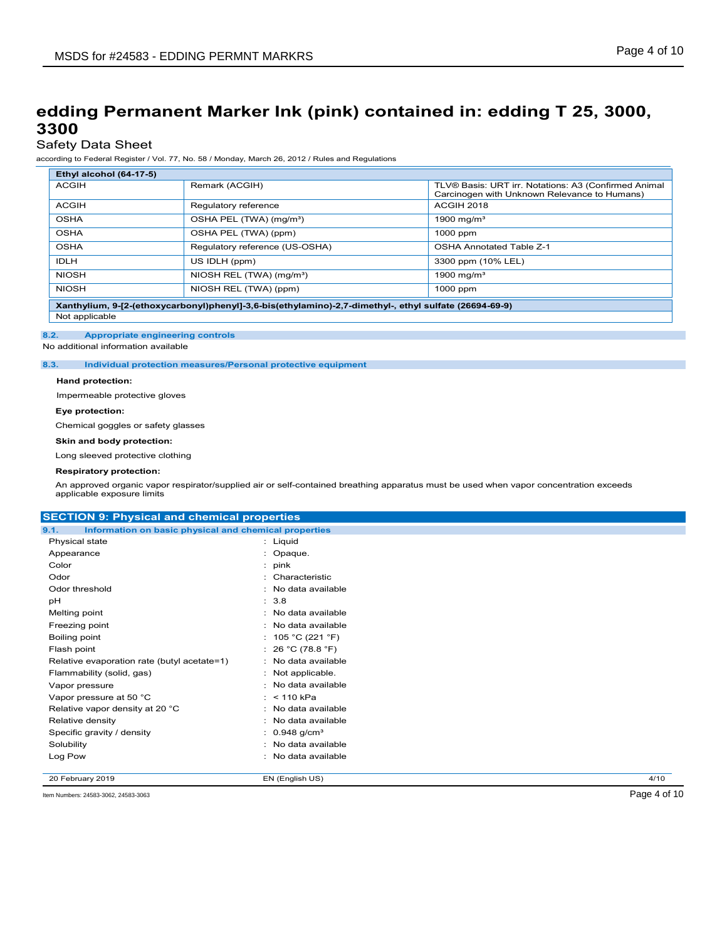# Safety Data Sheet

according to Federal Register / Vol. 77, No. 58 / Monday, March 26, 2012 / Rules and Regulations

| Ethyl alcohol (64-17-5)                                                                                |                                      |                                                                                                      |  |
|--------------------------------------------------------------------------------------------------------|--------------------------------------|------------------------------------------------------------------------------------------------------|--|
| <b>ACGIH</b>                                                                                           | Remark (ACGIH)                       | TLV® Basis: URT irr. Notations: A3 (Confirmed Animal<br>Carcinogen with Unknown Relevance to Humans) |  |
| <b>ACGIH</b>                                                                                           | Regulatory reference                 | <b>ACGIH 2018</b>                                                                                    |  |
| <b>OSHA</b>                                                                                            | OSHA PEL (TWA) (mg/m <sup>3</sup> )  | 1900 mg/m <sup>3</sup>                                                                               |  |
| <b>OSHA</b>                                                                                            | OSHA PEL (TWA) (ppm)                 | 1000 ppm                                                                                             |  |
| <b>OSHA</b>                                                                                            | Regulatory reference (US-OSHA)       | <b>OSHA Annotated Table Z-1</b>                                                                      |  |
| <b>IDLH</b>                                                                                            | US IDLH (ppm)                        | 3300 ppm (10% LEL)                                                                                   |  |
| <b>NIOSH</b>                                                                                           | NIOSH REL (TWA) (mg/m <sup>3</sup> ) | 1900 mg/m $3$                                                                                        |  |
| <b>NIOSH</b>                                                                                           | NIOSH REL (TWA) (ppm)                | 1000 ppm                                                                                             |  |
| Xanthylium, 9-[2-(ethoxycarbonyl)phenyl]-3,6-bis(ethylamino)-2,7-dimethyl-, ethyl sulfate (26694-69-9) |                                      |                                                                                                      |  |
| Not applicable                                                                                         |                                      |                                                                                                      |  |

#### **8.2. Appropriate engineering controls**

No additional information available

**8.3. Individual protection measures/Personal protective equipment**

#### **Hand protection:**

Impermeable protective gloves

### **Eye protection:**

Chemical goggles or safety glasses

#### **Skin and body protection:**

Long sleeved protective clothing

#### **Respiratory protection:**

An approved organic vapor respirator/supplied air or self-contained breathing apparatus must be used when vapor concentration exceeds applicable exposure limits

#### **SECTION 9: Physical and chemical properties**

| 9.1.<br>Information on basic physical and chemical properties |                             |      |
|---------------------------------------------------------------|-----------------------------|------|
| Physical state                                                | : Liquid                    |      |
| Appearance                                                    | : Opaque.                   |      |
| Color                                                         | $:$ pink                    |      |
| Odor                                                          | : Characteristic            |      |
| Odor threshold                                                | : No data available         |      |
| рH                                                            | : 3.8                       |      |
| Melting point                                                 | : No data available         |      |
| Freezing point                                                | : No data available         |      |
| Boiling point                                                 | : 105 °C (221 °F)           |      |
| Flash point                                                   | : 26 °C (78.8 °F)           |      |
| Relative evaporation rate (butyl acetate=1)                   | : No data available         |      |
| Flammability (solid, gas)                                     | : Not applicable.           |      |
| Vapor pressure                                                | : No data available         |      |
| Vapor pressure at 50 °C                                       | : $< 110$ kPa               |      |
| Relative vapor density at 20 °C                               | : No data available         |      |
| Relative density                                              | : No data available         |      |
| Specific gravity / density                                    | : $0.948$ g/cm <sup>3</sup> |      |
| Solubility                                                    | : No data available         |      |
| Log Pow                                                       | : No data available         |      |
|                                                               |                             |      |
| 20 February 2019                                              | EN (English US)             | 4/10 |

Item Numbers: 24583-3062, 24583-3063 Page 4 of 10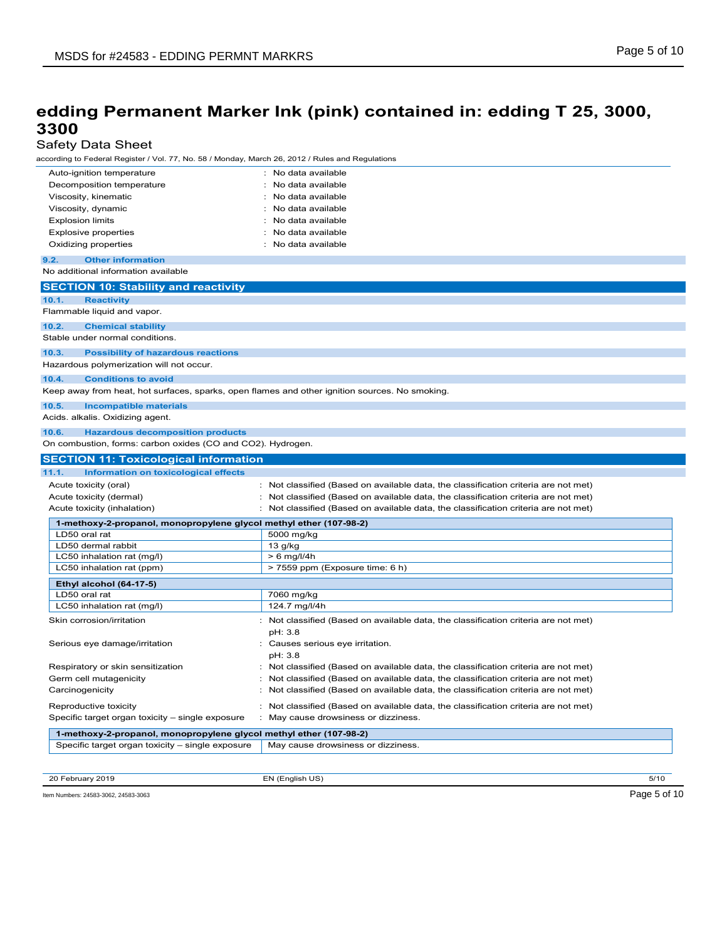## Safety Data Sheet

| Auto-ignition temperature<br>Decomposition temperature                                         | : No data available<br>: No data available                                          |
|------------------------------------------------------------------------------------------------|-------------------------------------------------------------------------------------|
| Viscosity, kinematic                                                                           | No data available                                                                   |
| Viscosity, dynamic                                                                             | No data available                                                                   |
| <b>Explosion limits</b>                                                                        | No data available                                                                   |
| <b>Explosive properties</b>                                                                    | No data available                                                                   |
| Oxidizing properties                                                                           | No data available                                                                   |
| 9.2.<br><b>Other information</b>                                                               |                                                                                     |
| No additional information available                                                            |                                                                                     |
| <b>SECTION 10: Stability and reactivity</b>                                                    |                                                                                     |
| 10.1.<br><b>Reactivity</b><br>Flammable liquid and vapor.                                      |                                                                                     |
| 10.2.<br><b>Chemical stability</b>                                                             |                                                                                     |
| Stable under normal conditions.                                                                |                                                                                     |
| 10.3.<br><b>Possibility of hazardous reactions</b>                                             |                                                                                     |
| Hazardous polymerization will not occur.                                                       |                                                                                     |
| <b>Conditions to avoid</b><br>10.4.                                                            |                                                                                     |
| Keep away from heat, hot surfaces, sparks, open flames and other ignition sources. No smoking. |                                                                                     |
| 10.5.<br><b>Incompatible materials</b>                                                         |                                                                                     |
| Acids. alkalis. Oxidizing agent.                                                               |                                                                                     |
| <b>Hazardous decomposition products</b><br>10.6.                                               |                                                                                     |
| On combustion, forms: carbon oxides (CO and CO2). Hydrogen.                                    |                                                                                     |
| <b>SECTION 11: Toxicological information</b>                                                   |                                                                                     |
| 11.1.<br><b>Information on toxicological effects</b>                                           |                                                                                     |
| Acute toxicity (oral)                                                                          | : Not classified (Based on available data, the classification criteria are not met) |
| Acute toxicity (dermal)                                                                        | : Not classified (Based on available data, the classification criteria are not met) |
| Acute toxicity (inhalation)                                                                    | : Not classified (Based on available data, the classification criteria are not met) |
| 1-methoxy-2-propanol, monopropylene glycol methyl ether (107-98-2)                             |                                                                                     |
| LD50 oral rat                                                                                  | 5000 mg/kg                                                                          |
| LD50 dermal rabbit<br>LC50 inhalation rat (mg/l)                                               | $13$ g/kg<br>$> 6$ mg/l/4h                                                          |
| LC50 inhalation rat (ppm)                                                                      | > 7559 ppm (Exposure time: 6 h)                                                     |
|                                                                                                |                                                                                     |
| Ethyl alcohol (64-17-5)<br>LD50 oral rat                                                       | 7060 mg/kg                                                                          |
| LC50 inhalation rat (mg/l)                                                                     | 124.7 mg/l/4h                                                                       |
| Skin corrosion/irritation                                                                      | : Not classified (Based on available data, the classification criteria are not met) |
|                                                                                                | pH: 3.8                                                                             |
| Serious eye damage/irritation                                                                  | : Causes serious eye irritation.                                                    |
|                                                                                                | pH: 3.8                                                                             |
| Respiratory or skin sensitization                                                              | Not classified (Based on available data, the classification criteria are not met)   |
| Germ cell mutagenicity                                                                         | Not classified (Based on available data, the classification criteria are not met)   |
| Carcinogenicity                                                                                | Not classified (Based on available data, the classification criteria are not met)   |
| Reproductive toxicity                                                                          | Not classified (Based on available data, the classification criteria are not met)   |
| Specific target organ toxicity - single exposure                                               | : May cause drowsiness or dizziness.                                                |
|                                                                                                |                                                                                     |
| 1-methoxy-2-propanol, monopropylene glycol methyl ether (107-98-2)                             |                                                                                     |

20 February 2019 EN (English US) 5/10

Item Numbers: 24583-3062, 24583-3063 Page 5 of 10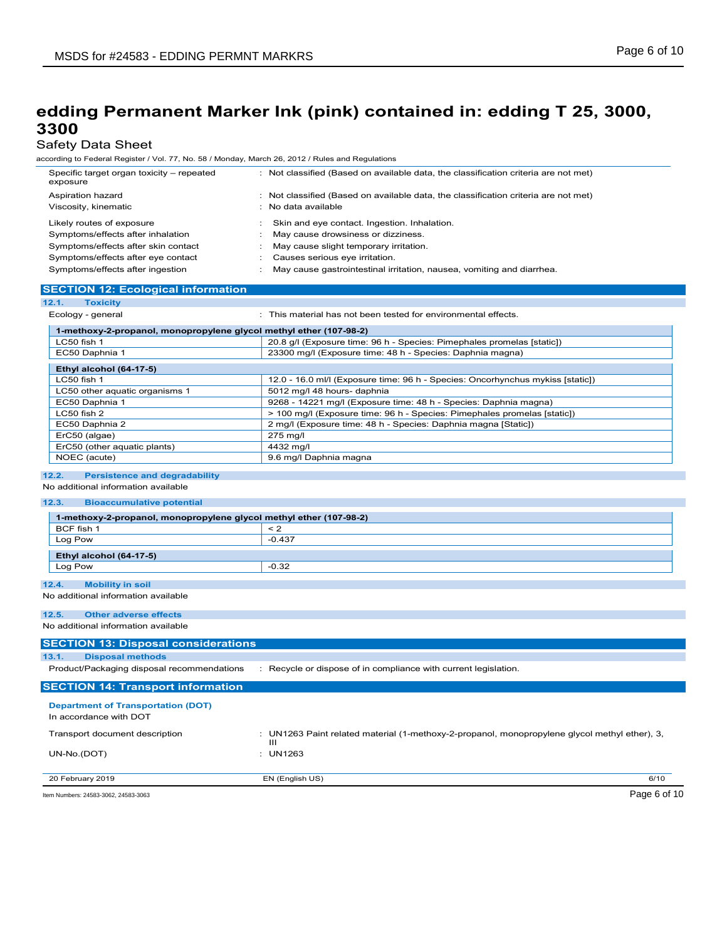### Safety Data Sheet

according to Federal Register / Vol. 77, No. 58 / Monday, March 26, 2012 / Rules and Regulations

| Specific target organ toxicity - repeated<br>exposure | : Not classified (Based on available data, the classification criteria are not met) |
|-------------------------------------------------------|-------------------------------------------------------------------------------------|
| Aspiration hazard                                     | : Not classified (Based on available data, the classification criteria are not met) |
| Viscosity, kinematic                                  | : No data available                                                                 |
| Likely routes of exposure                             | Skin and eye contact. Ingestion. Inhalation.                                        |
| Symptoms/effects after inhalation                     | May cause drowsiness or dizziness.                                                  |
| Symptoms/effects after skin contact                   | May cause slight temporary irritation.                                              |
| Symptoms/effects after eye contact                    | Causes serious eye irritation.                                                      |
| Symptoms/effects after ingestion                      | May cause gastrointestinal irritation, nausea, vomiting and diarrhea.               |

### **SECTION 12: Ecological information**

| 12.1.<br><b>Toxicity</b>       |                                                                                |  |  |
|--------------------------------|--------------------------------------------------------------------------------|--|--|
| Ecology - general              | This material has not been tested for environmental effects.                   |  |  |
|                                | 1-methoxy-2-propanol, monopropylene glycol methyl ether (107-98-2)             |  |  |
| LC50 fish 1                    | 20.8 g/l (Exposure time: 96 h - Species: Pimephales promelas [static])         |  |  |
| EC50 Daphnia 1                 | 23300 mg/l (Exposure time: 48 h - Species: Daphnia magna)                      |  |  |
| Ethyl alcohol (64-17-5)        |                                                                                |  |  |
| $LC50$ fish 1                  | 12.0 - 16.0 ml/l (Exposure time: 96 h - Species: Oncorhynchus mykiss [static]) |  |  |
| LC50 other aquatic organisms 1 | 5012 mg/l 48 hours- daphnia                                                    |  |  |
| EC50 Daphnia 1                 | 9268 - 14221 mg/l (Exposure time: 48 h - Species: Daphnia magna)               |  |  |
| LC50 fish 2                    | > 100 mg/l (Exposure time: 96 h - Species: Pimephales promelas [static])       |  |  |
| EC50 Daphnia 2                 | 2 mg/l (Exposure time: 48 h - Species: Daphnia magna [Static])                 |  |  |
| ErC50 (algae)                  | 275 mg/l                                                                       |  |  |
| ErC50 (other aquatic plants)   | 4432 mg/l                                                                      |  |  |
| NOEC (acute)                   | 9.6 mg/l Daphnia magna                                                         |  |  |

### **12.2. Persistence and degradability**

### No additional information available

#### **12.3. Bioaccumulative potential**

| 1-methoxy-2-propanol, monopropylene glycol methyl ether (107-98-2)  |                                                                                                  |
|---------------------------------------------------------------------|--------------------------------------------------------------------------------------------------|
| BCF fish 1                                                          | $\leq$ 2                                                                                         |
| Log Pow                                                             | $-0.437$                                                                                         |
|                                                                     |                                                                                                  |
| Ethyl alcohol (64-17-5)                                             |                                                                                                  |
| Log Pow                                                             | $-0.32$                                                                                          |
| 12.4.<br><b>Mobility in soil</b>                                    |                                                                                                  |
| No additional information available                                 |                                                                                                  |
| 12.5.<br><b>Other adverse effects</b>                               |                                                                                                  |
| No additional information available                                 |                                                                                                  |
| <b>SECTION 13: Disposal considerations</b>                          |                                                                                                  |
| <b>Disposal methods</b><br>13.1.                                    |                                                                                                  |
| Product/Packaging disposal recommendations                          | : Recycle or dispose of in compliance with current legislation.                                  |
| <b>SECTION 14: Transport information</b>                            |                                                                                                  |
| <b>Department of Transportation (DOT)</b><br>In accordance with DOT |                                                                                                  |
| Transport document description                                      | UN1263 Paint related material (1-methoxy-2-propanol, monopropylene glycol methyl ether), 3,<br>ш |
| UN-No.(DOT)                                                         | <b>UN1263</b>                                                                                    |
| 20 February 2019                                                    | EN (English US)<br>6/10                                                                          |

Item Numbers: 24583-3062, 24583-3063 Page 6 of 10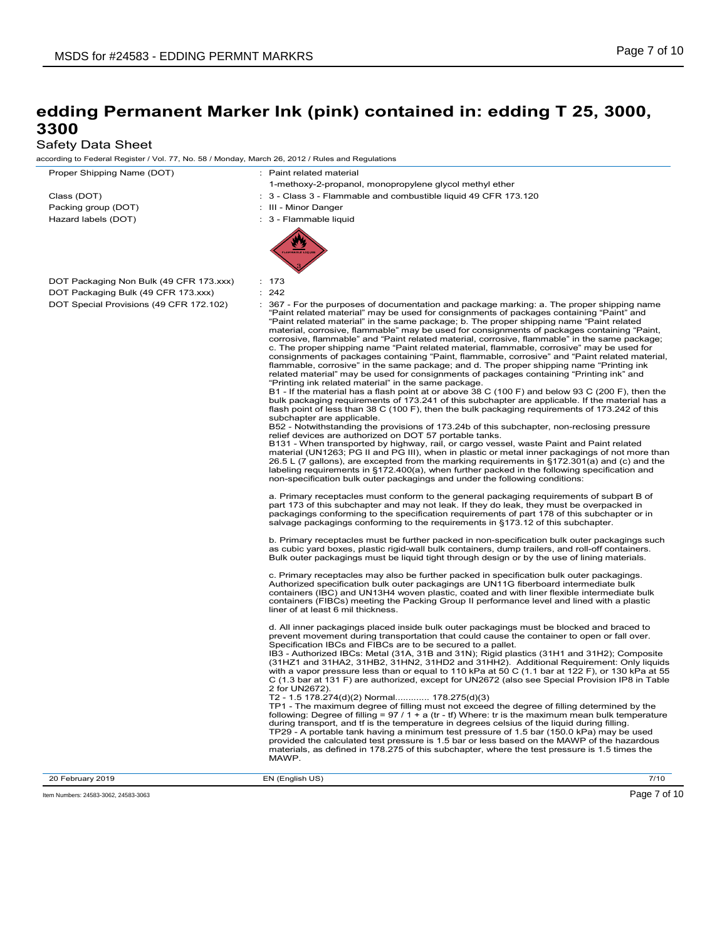# Safety Data Sheet

| according to Federal Register / Vol. 77, No. 58 / Monday, March 26, 2012 / Rules and Regulations |                                                                                                                                                                                                                                                                                                                                                                                                                                                                                                                                                                                                                                                                                                                                                                                                                                                                                                                                                                                                                                                                                                                                                                                                                                                                                                                                                                                                                                                                                                                                                                                                                                                                                                                                                                                                                                                                                                                 |
|--------------------------------------------------------------------------------------------------|-----------------------------------------------------------------------------------------------------------------------------------------------------------------------------------------------------------------------------------------------------------------------------------------------------------------------------------------------------------------------------------------------------------------------------------------------------------------------------------------------------------------------------------------------------------------------------------------------------------------------------------------------------------------------------------------------------------------------------------------------------------------------------------------------------------------------------------------------------------------------------------------------------------------------------------------------------------------------------------------------------------------------------------------------------------------------------------------------------------------------------------------------------------------------------------------------------------------------------------------------------------------------------------------------------------------------------------------------------------------------------------------------------------------------------------------------------------------------------------------------------------------------------------------------------------------------------------------------------------------------------------------------------------------------------------------------------------------------------------------------------------------------------------------------------------------------------------------------------------------------------------------------------------------|
| Proper Shipping Name (DOT)                                                                       | : Paint related material                                                                                                                                                                                                                                                                                                                                                                                                                                                                                                                                                                                                                                                                                                                                                                                                                                                                                                                                                                                                                                                                                                                                                                                                                                                                                                                                                                                                                                                                                                                                                                                                                                                                                                                                                                                                                                                                                        |
|                                                                                                  | 1-methoxy-2-propanol, monopropylene glycol methyl ether                                                                                                                                                                                                                                                                                                                                                                                                                                                                                                                                                                                                                                                                                                                                                                                                                                                                                                                                                                                                                                                                                                                                                                                                                                                                                                                                                                                                                                                                                                                                                                                                                                                                                                                                                                                                                                                         |
| Class (DOT)                                                                                      | : 3 - Class 3 - Flammable and combustible liquid 49 CFR 173.120                                                                                                                                                                                                                                                                                                                                                                                                                                                                                                                                                                                                                                                                                                                                                                                                                                                                                                                                                                                                                                                                                                                                                                                                                                                                                                                                                                                                                                                                                                                                                                                                                                                                                                                                                                                                                                                 |
| Packing group (DOT)                                                                              | : III - Minor Danger                                                                                                                                                                                                                                                                                                                                                                                                                                                                                                                                                                                                                                                                                                                                                                                                                                                                                                                                                                                                                                                                                                                                                                                                                                                                                                                                                                                                                                                                                                                                                                                                                                                                                                                                                                                                                                                                                            |
| Hazard labels (DOT)                                                                              | : 3 - Flammable liquid                                                                                                                                                                                                                                                                                                                                                                                                                                                                                                                                                                                                                                                                                                                                                                                                                                                                                                                                                                                                                                                                                                                                                                                                                                                                                                                                                                                                                                                                                                                                                                                                                                                                                                                                                                                                                                                                                          |
|                                                                                                  |                                                                                                                                                                                                                                                                                                                                                                                                                                                                                                                                                                                                                                                                                                                                                                                                                                                                                                                                                                                                                                                                                                                                                                                                                                                                                                                                                                                                                                                                                                                                                                                                                                                                                                                                                                                                                                                                                                                 |
| DOT Packaging Non Bulk (49 CFR 173.xxx)                                                          | : 173                                                                                                                                                                                                                                                                                                                                                                                                                                                                                                                                                                                                                                                                                                                                                                                                                                                                                                                                                                                                                                                                                                                                                                                                                                                                                                                                                                                                                                                                                                                                                                                                                                                                                                                                                                                                                                                                                                           |
| DOT Packaging Bulk (49 CFR 173.xxx)                                                              | 242<br>÷                                                                                                                                                                                                                                                                                                                                                                                                                                                                                                                                                                                                                                                                                                                                                                                                                                                                                                                                                                                                                                                                                                                                                                                                                                                                                                                                                                                                                                                                                                                                                                                                                                                                                                                                                                                                                                                                                                        |
| DOT Special Provisions (49 CFR 172.102)                                                          | 367 - For the purposes of documentation and package marking: a. The proper shipping name<br>"Paint related material" may be used for consignments of packages containing "Paint" and<br>"Paint related material" in the same package; b. The proper shipping name "Paint related<br>material, corrosive, flammable" may be used for consignments of packages containing "Paint,<br>corrosive, flammable" and "Paint related material, corrosive, flammable" in the same package;<br>c. The proper shipping name "Paint related material, flammable, corrosive" may be used for<br>consignments of packages containing "Paint, flammable, corrosive" and "Paint related material,<br>flammable, corrosive" in the same package; and d. The proper shipping name "Printing ink<br>related material" may be used for consignments of packages containing "Printing ink" and<br>"Printing ink related material" in the same package.<br>B1 - If the material has a flash point at or above 38 C (100 F) and below 93 C (200 F), then the<br>bulk packaging requirements of 173.241 of this subchapter are applicable. If the material has a<br>flash point of less than 38 C (100 F), then the bulk packaging requirements of 173.242 of this<br>subchapter are applicable.<br>B52 - Notwithstanding the provisions of 173.24b of this subchapter, non-reclosing pressure<br>relief devices are authorized on DOT 57 portable tanks.<br>B131 - When transported by highway, rail, or cargo vessel, waste Paint and Paint related<br>material (UN1263; PG II and PG III), when in plastic or metal inner packagings of not more than<br>26.5 L (7 gallons), are excepted from the marking requirements in §172.301(a) and (c) and the<br>labeling requirements in §172.400(a), when further packed in the following specification and<br>non-specification bulk outer packagings and under the following conditions: |
|                                                                                                  | a. Primary receptacles must conform to the general packaging requirements of subpart B of<br>part 173 of this subchapter and may not leak. If they do leak, they must be overpacked in<br>packagings conforming to the specification requirements of part 178 of this subchapter or in<br>salvage packagings conforming to the requirements in §173.12 of this subchapter.                                                                                                                                                                                                                                                                                                                                                                                                                                                                                                                                                                                                                                                                                                                                                                                                                                                                                                                                                                                                                                                                                                                                                                                                                                                                                                                                                                                                                                                                                                                                      |
|                                                                                                  | b. Primary receptacles must be further packed in non-specification bulk outer packagings such<br>as cubic yard boxes, plastic rigid-wall bulk containers, dump trailers, and roll-off containers.<br>Bulk outer packagings must be liquid tight through design or by the use of lining materials.                                                                                                                                                                                                                                                                                                                                                                                                                                                                                                                                                                                                                                                                                                                                                                                                                                                                                                                                                                                                                                                                                                                                                                                                                                                                                                                                                                                                                                                                                                                                                                                                               |
|                                                                                                  | c. Primary receptacles may also be further packed in specification bulk outer packagings.<br>Authorized specification bulk outer packagings are UN11G fiberboard intermediate bulk<br>containers (IBC) and UN13H4 woven plastic, coated and with liner flexible intermediate bulk<br>containers (FIBCs) meeting the Packing Group II performance level and lined with a plastic<br>liner of at least 6 mil thickness.                                                                                                                                                                                                                                                                                                                                                                                                                                                                                                                                                                                                                                                                                                                                                                                                                                                                                                                                                                                                                                                                                                                                                                                                                                                                                                                                                                                                                                                                                           |
|                                                                                                  | d. All inner packagings placed inside bulk outer packagings must be blocked and braced to<br>prevent movement during transportation that could cause the container to open or fall over.<br>Specification IBCs and FIBCs are to be secured to a pallet.<br>IB3 - Authorized IBCs: Metal (31A, 31B and 31N); Rigid plastics (31H1 and 31H2); Composite<br>(31HZ1 and 31HA2, 31HB2, 31HN2, 31HD2 and 31HH2). Additional Requirement: Only liquids<br>with a vapor pressure less than or equal to 110 kPa at 50 C (1.1 bar at 122 F), or 130 kPa at 55<br>C (1.3 bar at 131 F) are authorized, except for UN2672 (also see Special Provision IP8 in Table<br>2 for UN2672).<br>T2 - 1.5 178.274(d)(2) Normal 178.275(d)(3)<br>TP1 - The maximum degree of filling must not exceed the degree of filling determined by the<br>following: Degree of filling = $97/1 + a$ (tr - tf) Where: tr is the maximum mean bulk temperature<br>during transport, and if is the temperature in degrees celsius of the liquid during filling.<br>TP29 - A portable tank having a minimum test pressure of 1.5 bar (150.0 kPa) may be used<br>provided the calculated test pressure is 1.5 bar or less based on the MAWP of the hazardous<br>materials, as defined in 178.275 of this subchapter, where the test pressure is 1.5 times the                                                                                                                                                                                                                                                                                                                                                                                                                                                                                                                                                                                        |

Item Numbers: 24583-3062, 24583-3063 Page 7 of 10

MAWP.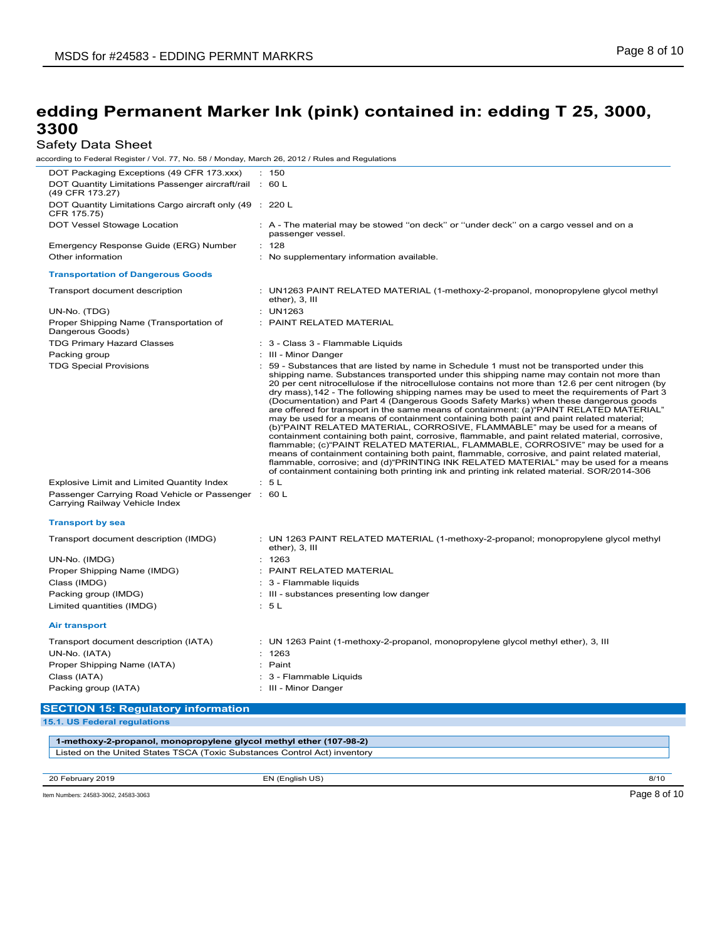## Safety Data Sheet

| according to Federal Register / Vol. 77, No. 58 / Monday, March 26, 2012 / Rules and Regulations |                                                                                                                                                                                                                                                                                                                                                                                                                                                                                                                                                                                                                                                                                                                                                                                                                                                                                                                                                                                                                                                                                                                                                                                                                                          |
|--------------------------------------------------------------------------------------------------|------------------------------------------------------------------------------------------------------------------------------------------------------------------------------------------------------------------------------------------------------------------------------------------------------------------------------------------------------------------------------------------------------------------------------------------------------------------------------------------------------------------------------------------------------------------------------------------------------------------------------------------------------------------------------------------------------------------------------------------------------------------------------------------------------------------------------------------------------------------------------------------------------------------------------------------------------------------------------------------------------------------------------------------------------------------------------------------------------------------------------------------------------------------------------------------------------------------------------------------|
| DOT Packaging Exceptions (49 CFR 173.xxx)                                                        | : 150                                                                                                                                                                                                                                                                                                                                                                                                                                                                                                                                                                                                                                                                                                                                                                                                                                                                                                                                                                                                                                                                                                                                                                                                                                    |
| DOT Quantity Limitations Passenger aircraft/rail : 60 L<br>(49 CFR 173.27)                       |                                                                                                                                                                                                                                                                                                                                                                                                                                                                                                                                                                                                                                                                                                                                                                                                                                                                                                                                                                                                                                                                                                                                                                                                                                          |
| DOT Quantity Limitations Cargo aircraft only (49 : 220 L<br>CFR 175.75)                          |                                                                                                                                                                                                                                                                                                                                                                                                                                                                                                                                                                                                                                                                                                                                                                                                                                                                                                                                                                                                                                                                                                                                                                                                                                          |
| DOT Vessel Stowage Location                                                                      | : A - The material may be stowed "on deck" or "under deck" on a cargo vessel and on a<br>passenger vessel.                                                                                                                                                                                                                                                                                                                                                                                                                                                                                                                                                                                                                                                                                                                                                                                                                                                                                                                                                                                                                                                                                                                               |
| Emergency Response Guide (ERG) Number                                                            | : 128                                                                                                                                                                                                                                                                                                                                                                                                                                                                                                                                                                                                                                                                                                                                                                                                                                                                                                                                                                                                                                                                                                                                                                                                                                    |
| Other information                                                                                | : No supplementary information available.                                                                                                                                                                                                                                                                                                                                                                                                                                                                                                                                                                                                                                                                                                                                                                                                                                                                                                                                                                                                                                                                                                                                                                                                |
| <b>Transportation of Dangerous Goods</b>                                                         |                                                                                                                                                                                                                                                                                                                                                                                                                                                                                                                                                                                                                                                                                                                                                                                                                                                                                                                                                                                                                                                                                                                                                                                                                                          |
| Transport document description                                                                   | : UN1263 PAINT RELATED MATERIAL (1-methoxy-2-propanol, monopropylene glycol methyl<br>ether), 3, III                                                                                                                                                                                                                                                                                                                                                                                                                                                                                                                                                                                                                                                                                                                                                                                                                                                                                                                                                                                                                                                                                                                                     |
| UN-No. (TDG)                                                                                     | : UN1263                                                                                                                                                                                                                                                                                                                                                                                                                                                                                                                                                                                                                                                                                                                                                                                                                                                                                                                                                                                                                                                                                                                                                                                                                                 |
| Proper Shipping Name (Transportation of<br>Dangerous Goods)                                      | : PAINT RELATED MATERIAL                                                                                                                                                                                                                                                                                                                                                                                                                                                                                                                                                                                                                                                                                                                                                                                                                                                                                                                                                                                                                                                                                                                                                                                                                 |
| <b>TDG Primary Hazard Classes</b>                                                                | : 3 - Class 3 - Flammable Liquids                                                                                                                                                                                                                                                                                                                                                                                                                                                                                                                                                                                                                                                                                                                                                                                                                                                                                                                                                                                                                                                                                                                                                                                                        |
| Packing group                                                                                    | : III - Minor Danger                                                                                                                                                                                                                                                                                                                                                                                                                                                                                                                                                                                                                                                                                                                                                                                                                                                                                                                                                                                                                                                                                                                                                                                                                     |
| <b>TDG Special Provisions</b>                                                                    | : 59 - Substances that are listed by name in Schedule 1 must not be transported under this<br>shipping name. Substances transported under this shipping name may contain not more than<br>20 per cent nitrocellulose if the nitrocellulose contains not more than 12.6 per cent nitrogen (by<br>dry mass), 142 - The following shipping names may be used to meet the requirements of Part 3<br>(Documentation) and Part 4 (Dangerous Goods Safety Marks) when these dangerous goods<br>are offered for transport in the same means of containment: (a)"PAINT RELATED MATERIAL"<br>may be used for a means of containment containing both paint and paint related material;<br>(b) PAINT RELATED MATERIAL, CORROSIVE, FLAMMABLE" may be used for a means of<br>containment containing both paint, corrosive, flammable, and paint related material, corrosive,<br>flammable; (c)"PAINT RELATED MATERIAL, FLAMMABLE, CORROSIVE" may be used for a<br>means of containment containing both paint, flammable, corrosive, and paint related material,<br>flammable, corrosive; and (d)"PRINTING INK RELATED MATERIAL" may be used for a means<br>of containment containing both printing ink and printing ink related material. SOR/2014-306 |
| Explosive Limit and Limited Quantity Index                                                       | : 5L                                                                                                                                                                                                                                                                                                                                                                                                                                                                                                                                                                                                                                                                                                                                                                                                                                                                                                                                                                                                                                                                                                                                                                                                                                     |
| Passenger Carrying Road Vehicle or Passenger : 60 L<br>Carrying Railway Vehicle Index            |                                                                                                                                                                                                                                                                                                                                                                                                                                                                                                                                                                                                                                                                                                                                                                                                                                                                                                                                                                                                                                                                                                                                                                                                                                          |
| <b>Transport by sea</b>                                                                          |                                                                                                                                                                                                                                                                                                                                                                                                                                                                                                                                                                                                                                                                                                                                                                                                                                                                                                                                                                                                                                                                                                                                                                                                                                          |
| Transport document description (IMDG)                                                            | : UN 1263 PAINT RELATED MATERIAL (1-methoxy-2-propanol; monopropylene glycol methyl<br>ether), 3, III                                                                                                                                                                                                                                                                                                                                                                                                                                                                                                                                                                                                                                                                                                                                                                                                                                                                                                                                                                                                                                                                                                                                    |
| UN-No. (IMDG)                                                                                    | : 1263                                                                                                                                                                                                                                                                                                                                                                                                                                                                                                                                                                                                                                                                                                                                                                                                                                                                                                                                                                                                                                                                                                                                                                                                                                   |
| Proper Shipping Name (IMDG)                                                                      | : PAINT RELATED MATERIAL                                                                                                                                                                                                                                                                                                                                                                                                                                                                                                                                                                                                                                                                                                                                                                                                                                                                                                                                                                                                                                                                                                                                                                                                                 |
| Class (IMDG)                                                                                     | : 3 - Flammable liquids                                                                                                                                                                                                                                                                                                                                                                                                                                                                                                                                                                                                                                                                                                                                                                                                                                                                                                                                                                                                                                                                                                                                                                                                                  |
| Packing group (IMDG)                                                                             | : III - substances presenting low danger                                                                                                                                                                                                                                                                                                                                                                                                                                                                                                                                                                                                                                                                                                                                                                                                                                                                                                                                                                                                                                                                                                                                                                                                 |
| Limited quantities (IMDG)                                                                        | : 5L                                                                                                                                                                                                                                                                                                                                                                                                                                                                                                                                                                                                                                                                                                                                                                                                                                                                                                                                                                                                                                                                                                                                                                                                                                     |
| <b>Air transport</b>                                                                             |                                                                                                                                                                                                                                                                                                                                                                                                                                                                                                                                                                                                                                                                                                                                                                                                                                                                                                                                                                                                                                                                                                                                                                                                                                          |
| Transport document description (IATA)                                                            | : UN 1263 Paint (1-methoxy-2-propanol, monopropylene glycol methyl ether), 3, III                                                                                                                                                                                                                                                                                                                                                                                                                                                                                                                                                                                                                                                                                                                                                                                                                                                                                                                                                                                                                                                                                                                                                        |
| UN-No. (IATA)                                                                                    | : 1263                                                                                                                                                                                                                                                                                                                                                                                                                                                                                                                                                                                                                                                                                                                                                                                                                                                                                                                                                                                                                                                                                                                                                                                                                                   |
| Proper Shipping Name (IATA)                                                                      | : Paint                                                                                                                                                                                                                                                                                                                                                                                                                                                                                                                                                                                                                                                                                                                                                                                                                                                                                                                                                                                                                                                                                                                                                                                                                                  |
| Class (IATA)                                                                                     | : 3 - Flammable Liquids                                                                                                                                                                                                                                                                                                                                                                                                                                                                                                                                                                                                                                                                                                                                                                                                                                                                                                                                                                                                                                                                                                                                                                                                                  |
| Packing group (IATA)                                                                             | : III - Minor Danger                                                                                                                                                                                                                                                                                                                                                                                                                                                                                                                                                                                                                                                                                                                                                                                                                                                                                                                                                                                                                                                                                                                                                                                                                     |
|                                                                                                  |                                                                                                                                                                                                                                                                                                                                                                                                                                                                                                                                                                                                                                                                                                                                                                                                                                                                                                                                                                                                                                                                                                                                                                                                                                          |
| <b>SECTION 15: Regulatory information</b><br>15.1. US Federal regulations                        |                                                                                                                                                                                                                                                                                                                                                                                                                                                                                                                                                                                                                                                                                                                                                                                                                                                                                                                                                                                                                                                                                                                                                                                                                                          |
|                                                                                                  |                                                                                                                                                                                                                                                                                                                                                                                                                                                                                                                                                                                                                                                                                                                                                                                                                                                                                                                                                                                                                                                                                                                                                                                                                                          |

**1-methoxy-2-propanol, monopropylene glycol methyl ether (107-98-2)** Listed on the United States TSCA (Toxic Substances Control Act) inventory

20 February 2019 EN (English US) 8/10 Item Numbers: 24583-3062, 24583-3063 Page 8 of 10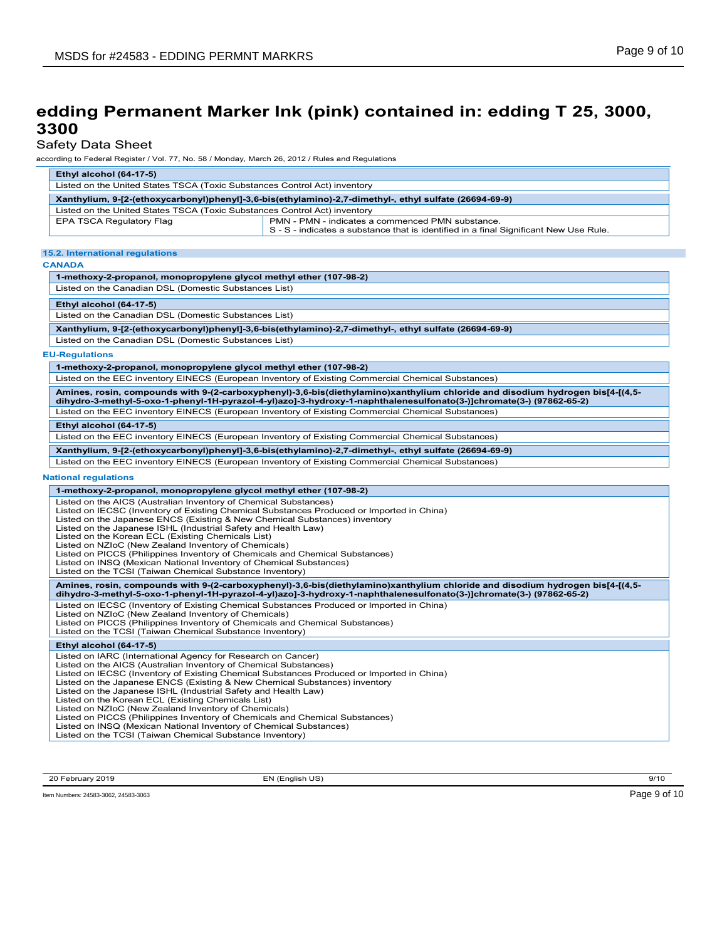### Safety Data Sheet

according to Federal Register / Vol. 77, No. 58 / Monday, March 26, 2012 / Rules and Regulations

| Ethyl alcohol (64-17-5)                                                                                |                                                                                                                                           |  |  |
|--------------------------------------------------------------------------------------------------------|-------------------------------------------------------------------------------------------------------------------------------------------|--|--|
| Listed on the United States TSCA (Toxic Substances Control Act) inventory                              |                                                                                                                                           |  |  |
| Xanthylium, 9-[2-(ethoxycarbonyl)phenyl]-3,6-bis(ethylamino)-2,7-dimethyl-, ethyl sulfate (26694-69-9) |                                                                                                                                           |  |  |
| Listed on the United States TSCA (Toxic Substances Control Act) inventory                              |                                                                                                                                           |  |  |
| EPA TSCA Regulatory Flag                                                                               | PMN - PMN - indicates a commenced PMN substance.<br>S - S - indicates a substance that is identified in a final Significant New Use Rule. |  |  |

#### **15.2. International regulations**

**CANADA**

#### **1-methoxy-2-propanol, monopropylene glycol methyl ether (107-98-2)** Listed on the Canadian DSL (Domestic Substances List) **Ethyl alcohol (64-17-5)** Listed on the Canadian DSL (Domestic Substances List) **Xanthylium, 9-[2-(ethoxycarbonyl)phenyl]-3,6-bis(ethylamino)-2,7-dimethyl-, ethyl sulfate (26694-69-9)** Listed on the Canadian DSL (Domestic Substances List) **EU-Regulations 1-methoxy-2-propanol, monopropylene glycol methyl ether (107-98-2)** Listed on the EEC inventory EINECS (European Inventory of Existing Commercial Chemical Substances) **Amines, rosin, compounds with 9-(2-carboxyphenyl)-3,6-bis(diethylamino)xanthylium chloride and disodium hydrogen bis[4-[(4,5 dihydro-3-methyl-5-oxo-1-phenyl-1H-pyrazol-4-yl)azo]-3-hydroxy-1-naphthalenesulfonato(3-)]chromate(3-) (97862-65-2)** Listed on the EEC inventory EINECS (European Inventory of Existing Commercial Chemical Substances) **Ethyl alcohol (64-17-5)** Listed on the EEC inventory EINECS (European Inventory of Existing Commercial Chemical Substances) **Xanthylium, 9-[2-(ethoxycarbonyl)phenyl]-3,6-bis(ethylamino)-2,7-dimethyl-, ethyl sulfate (26694-69-9)** Listed on the EEC inventory EINECS (European Inventory of Existing Commercial Chemical Substances) **National regulations 1-methoxy-2-propanol, monopropylene glycol methyl ether (107-98-2)** Listed on the AICS (Australian Inventory of Chemical Substances) Listed on IECSC (Inventory of Existing Chemical Substances Produced or Imported in China) Listed on the Japanese ENCS (Existing & New Chemical Substances) inventory Listed on the Japanese ISHL (Industrial Safety and Health Law) Listed on the Korean ECL (Existing Chemicals List) Listed on NZIoC (New Zealand Inventory of Chemicals) Listed on PICCS (Philippines Inventory of Chemicals and Chemical Substances) Listed on INSQ (Mexican National Inventory of Chemical Substances) Listed on the TCSI (Taiwan Chemical Substance Inventory) **Amines, rosin, compounds with 9-(2-carboxyphenyl)-3,6-bis(diethylamino)xanthylium chloride and disodium hydrogen bis[4-[(4,5 dihydro-3-methyl-5-oxo-1-phenyl-1H-pyrazol-4-yl)azo]-3-hydroxy-1-naphthalenesulfonato(3-)]chromate(3-) (97862-65-2)** Listed on IECSC (Inventory of Existing Chemical Substances Produced or Imported in China) Listed on NZIoC (New Zealand Inventory of Chemicals) Listed on PICCS (Philippines Inventory of Chemicals and Chemical Substances) Listed on the TCSI (Taiwan Chemical Substance Inventory) **Ethyl alcohol (64-17-5)** Listed on IARC (International Agency for Research on Cancer) Listed on the AICS (Australian Inventory of Chemical Substances) Listed on IECSC (Inventory of Existing Chemical Substances Produced or Imported in China) Listed on the Japanese ENCS (Existing & New Chemical Substances) inventory Listed on the Japanese ISHL (Industrial Safety and Health Law) Listed on the Korean ECL (Existing Chemicals List) Listed on NZIoC (New Zealand Inventory of Chemicals) Listed on PICCS (Philippines Inventory of Chemicals and Chemical Substances) Listed on INSQ (Mexican National Inventory of Chemical Substances) Listed on the TCSI (Taiwan Chemical Substance Inventory)

20 February 2019 EN (English US) 9/10